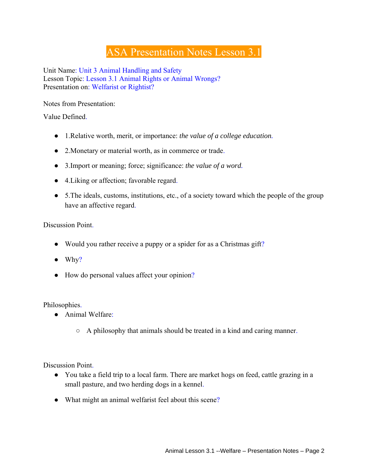## ASA Presentation Notes Lesson 3.1

Unit Name: Unit 3 Animal Handling and Safety Lesson Topic: Lesson 3.1 Animal Rights or Animal Wrongs? Presentation on: Welfarist or Rightist?

Notes from Presentation:

Value Defined.

- 1.Relative worth, merit, or importance: *the value of a college education.*
- 2.Monetary or material worth, as in commerce or trade.
- 3.Import or meaning; force; significance: *the value of a word.*
- 4.Liking or affection; favorable regard.
- 5. The ideals, customs, institutions, etc., of a society toward which the people of the group have an affective regard.

Discussion Point.

- Would you rather receive a puppy or a spider for as a Christmas gift?
- $\bullet$  Why?
- How do personal values affect your opinion?

Philosophies.

- Animal Welfare:
	- A philosophy that animals should be treated in a kind and caring manner.

Discussion Point.

- You take a field trip to a local farm. There are market hogs on feed, cattle grazing in a small pasture, and two herding dogs in a kennel.
- What might an animal welfarist feel about this scene?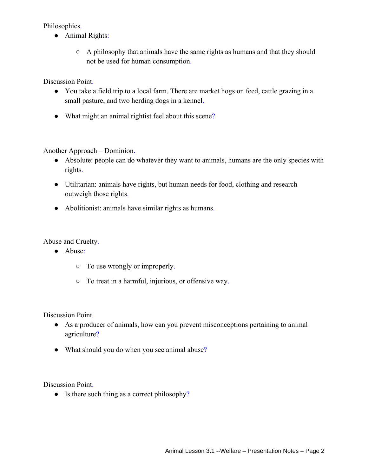Philosophies.

- Animal Rights:
	- A philosophy that animals have the same rights as humans and that they should not be used for human consumption.

Discussion Point.

- You take a field trip to a local farm. There are market hogs on feed, cattle grazing in a small pasture, and two herding dogs in a kennel.
- What might an animal rightist feel about this scene?

Another Approach – Dominion.

- Absolute: people can do whatever they want to animals, humans are the only species with rights.
- Utilitarian: animals have rights, but human needs for food, clothing and research outweigh those rights.
- Abolitionist: animals have similar rights as humans.

Abuse and Cruelty.

- Abuse:
	- To use wrongly or improperly.
	- To treat in a harmful, injurious, or offensive way.

Discussion Point.

- As a producer of animals, how can you prevent misconceptions pertaining to animal agriculture?
- What should you do when you see animal abuse?

Discussion Point.

• Is there such thing as a correct philosophy?